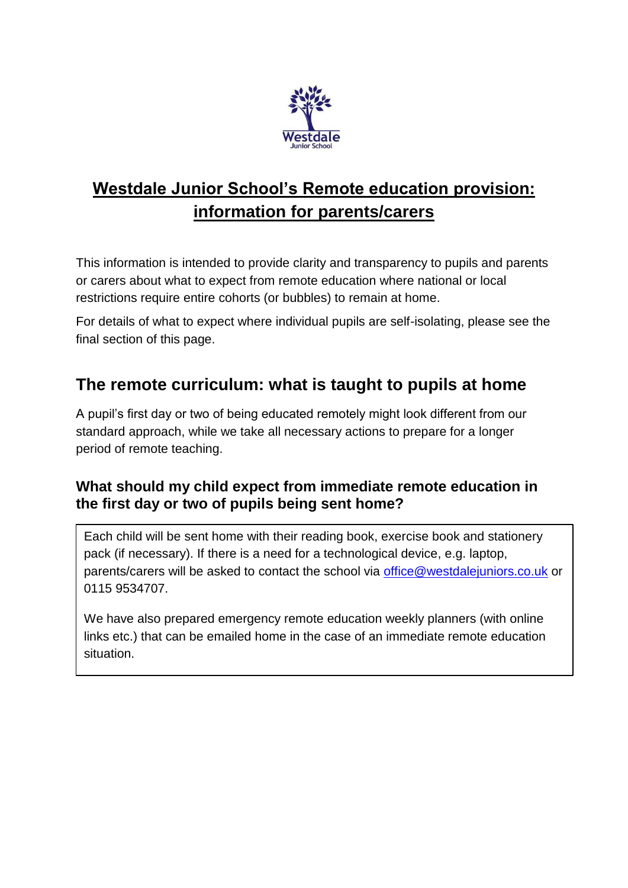

# **Westdale Junior School's Remote education provision: information for parents/carers**

This information is intended to provide clarity and transparency to pupils and parents or carers about what to expect from remote education where national or local restrictions require entire cohorts (or bubbles) to remain at home.

For details of what to expect where individual pupils are self-isolating, please see the final section of this page.

### **The remote curriculum: what is taught to pupils at home**

A pupil's first day or two of being educated remotely might look different from our standard approach, while we take all necessary actions to prepare for a longer period of remote teaching.

#### **What should my child expect from immediate remote education in the first day or two of pupils being sent home?**

Each child will be sent home with their reading book, exercise book and stationery pack (if necessary). If there is a need for a technological device, e.g. laptop, parents/carers will be asked to contact the school via [office@westdalejuniors.co.uk](mailto:office@westdalejuniors.co.uk) or 0115 9534707.

We have also prepared emergency remote education weekly planners (with online links etc.) that can be emailed home in the case of an immediate remote education situation.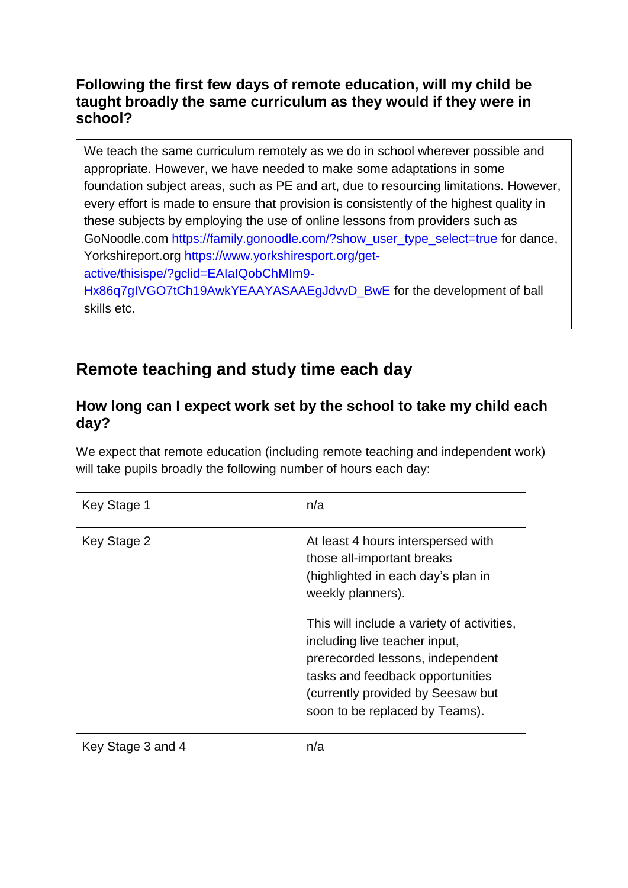#### **Following the first few days of remote education, will my child be taught broadly the same curriculum as they would if they were in school?**

We teach the same curriculum remotely as we do in school wherever possible and appropriate. However, we have needed to make some adaptations in some foundation subject areas, such as PE and art, due to resourcing limitations. However, every effort is made to ensure that provision is consistently of the highest quality in these subjects by employing the use of online lessons from providers such as GoNoodle.com [https://family.gonoodle.com/?show\\_user\\_type\\_select=true](https://family.gonoodle.com/?show_user_type_select=true) for dance, Yorkshireport.org [https://www.yorkshiresport.org/get](https://www.yorkshiresport.org/get-active/thisispe/?gclid=EAIaIQobChMIm9-Hx86q7gIVGO7tCh19AwkYEAAYASAAEgJdvvD_BwE)[active/thisispe/?gclid=EAIaIQobChMIm9-](https://www.yorkshiresport.org/get-active/thisispe/?gclid=EAIaIQobChMIm9-Hx86q7gIVGO7tCh19AwkYEAAYASAAEgJdvvD_BwE) Hx86q7qIVGO7tCh19AwkYEAAYASAAEgJdvvD\_BwE for the development of ball skills etc.

## **Remote teaching and study time each day**

#### **How long can I expect work set by the school to take my child each day?**

We expect that remote education (including remote teaching and independent work) will take pupils broadly the following number of hours each day:

| Key Stage 1       | n/a                                                                                                                                                                                                                                                                                                                                                       |
|-------------------|-----------------------------------------------------------------------------------------------------------------------------------------------------------------------------------------------------------------------------------------------------------------------------------------------------------------------------------------------------------|
| Key Stage 2       | At least 4 hours interspersed with<br>those all-important breaks<br>(highlighted in each day's plan in<br>weekly planners).<br>This will include a variety of activities,<br>including live teacher input,<br>prerecorded lessons, independent<br>tasks and feedback opportunities<br>(currently provided by Seesaw but<br>soon to be replaced by Teams). |
| Key Stage 3 and 4 | n/a                                                                                                                                                                                                                                                                                                                                                       |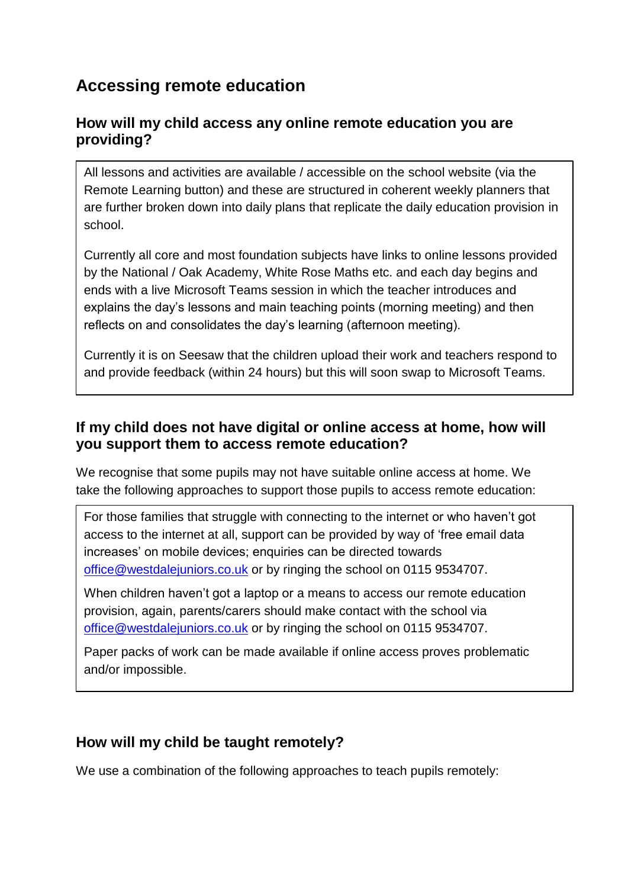### **Accessing remote education**

#### **How will my child access any online remote education you are providing?**

All lessons and activities are available / accessible on the school website (via the Remote Learning button) and these are structured in coherent weekly planners that are further broken down into daily plans that replicate the daily education provision in school.

Currently all core and most foundation subjects have links to online lessons provided by the National / Oak Academy, White Rose Maths etc. and each day begins and ends with a live Microsoft Teams session in which the teacher introduces and explains the day's lessons and main teaching points (morning meeting) and then reflects on and consolidates the day's learning (afternoon meeting).

Currently it is on Seesaw that the children upload their work and teachers respond to and provide feedback (within 24 hours) but this will soon swap to Microsoft Teams.

#### **If my child does not have digital or online access at home, how will you support them to access remote education?**

We recognise that some pupils may not have suitable online access at home. We take the following approaches to support those pupils to access remote education:

For those families that struggle with connecting to the internet or who haven't got access to the internet at all, support can be provided by way of 'free email data increases' on mobile devices; enquiries can be directed towards [office@westdalejuniors.co.uk](mailto:office@westdalejuniors.co.uk) or by ringing the school on 0115 9534707.

When children haven't got a laptop or a means to access our remote education provision, again, parents/carers should make contact with the school via [office@westdalejuniors.co.uk](mailto:office@westdalejuniors.co.uk) or by ringing the school on 0115 9534707.

Paper packs of work can be made available if online access proves problematic and/or impossible.

#### **How will my child be taught remotely?**

We use a combination of the following approaches to teach pupils remotely: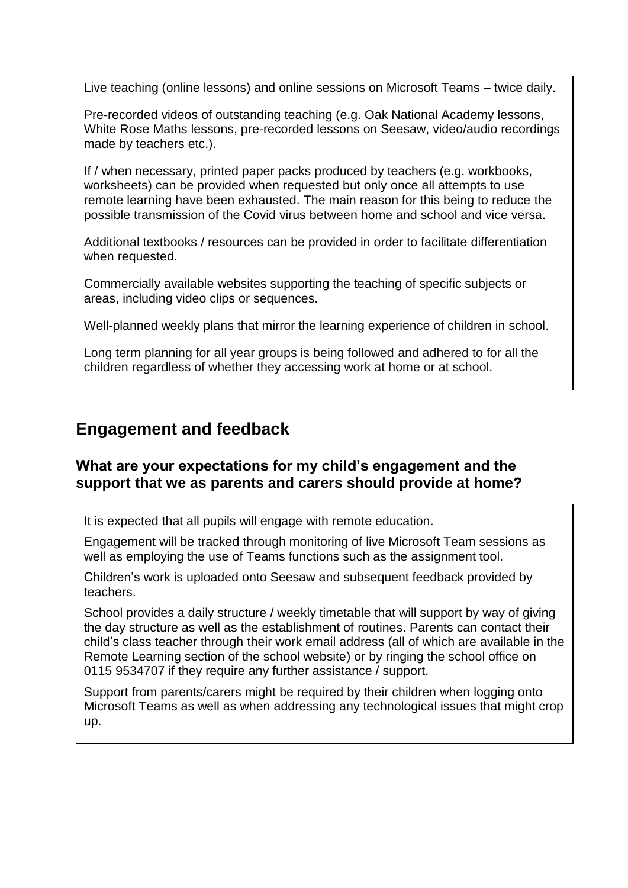Live teaching (online lessons) and online sessions on Microsoft Teams – twice daily.

Pre-recorded videos of outstanding teaching (e.g. Oak National Academy lessons, White Rose Maths lessons, pre-recorded lessons on Seesaw, video/audio recordings made by teachers etc.).

If / when necessary, printed paper packs produced by teachers (e.g. workbooks, worksheets) can be provided when requested but only once all attempts to use remote learning have been exhausted. The main reason for this being to reduce the possible transmission of the Covid virus between home and school and vice versa.

Additional textbooks / resources can be provided in order to facilitate differentiation when requested.

Commercially available websites supporting the teaching of specific subjects or areas, including video clips or sequences.

Well-planned weekly plans that mirror the learning experience of children in school.

Long term planning for all year groups is being followed and adhered to for all the children regardless of whether they accessing work at home or at school.

### **Engagement and feedback**

#### **What are your expectations for my child's engagement and the support that we as parents and carers should provide at home?**

It is expected that all pupils will engage with remote education.

Engagement will be tracked through monitoring of live Microsoft Team sessions as well as employing the use of Teams functions such as the assignment tool.

Children's work is uploaded onto Seesaw and subsequent feedback provided by teachers.

School provides a daily structure / weekly timetable that will support by way of giving the day structure as well as the establishment of routines. Parents can contact their child's class teacher through their work email address (all of which are available in the Remote Learning section of the school website) or by ringing the school office on 0115 9534707 if they require any further assistance / support.

Support from parents/carers might be required by their children when logging onto Microsoft Teams as well as when addressing any technological issues that might crop up.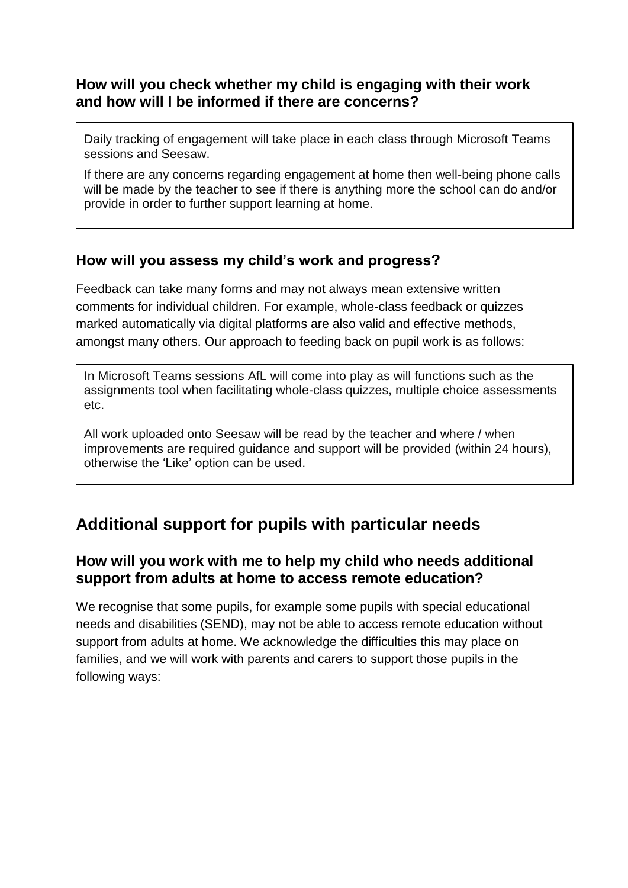#### **How will you check whether my child is engaging with their work and how will I be informed if there are concerns?**

Daily tracking of engagement will take place in each class through Microsoft Teams sessions and Seesaw.

If there are any concerns regarding engagement at home then well-being phone calls will be made by the teacher to see if there is anything more the school can do and/or provide in order to further support learning at home.

#### **How will you assess my child's work and progress?**

Feedback can take many forms and may not always mean extensive written comments for individual children. For example, whole-class feedback or quizzes marked automatically via digital platforms are also valid and effective methods, amongst many others. Our approach to feeding back on pupil work is as follows:

In Microsoft Teams sessions AfL will come into play as will functions such as the assignments tool when facilitating whole-class quizzes, multiple choice assessments etc.

All work uploaded onto Seesaw will be read by the teacher and where / when improvements are required guidance and support will be provided (within 24 hours), otherwise the 'Like' option can be used.

## **Additional support for pupils with particular needs**

#### **How will you work with me to help my child who needs additional support from adults at home to access remote education?**

We recognise that some pupils, for example some pupils with special educational needs and disabilities (SEND), may not be able to access remote education without support from adults at home. We acknowledge the difficulties this may place on families, and we will work with parents and carers to support those pupils in the following ways: